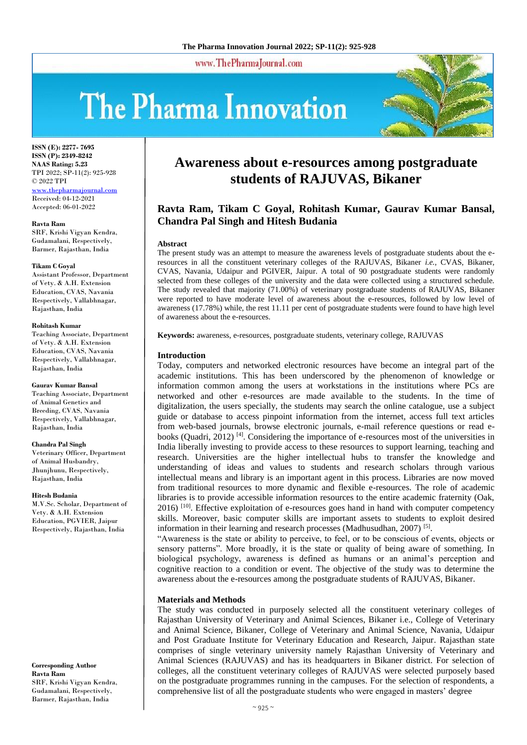www.ThePharmaJournal.com

# The Pharma Innovation



**ISSN (E): 2277- 7695 ISSN (P): 2349-8242 NAAS Rating: 5.23** TPI 2022; SP-11(2): 925-928 © 2022 TPI <www.thepharmajournal.com> Received: 04-12-2021 Accepted: 06-01-2022

**Ravta Ram**

SRF, Krishi Vigyan Kendra, Gudamalani, Respectively, Barmer, Rajasthan, India

#### **Tikam C Goyal**

Assistant Professor, Department of Vety. & A.H. Extension Education, CVAS, Navania Respectively, Vallabhnagar, Rajasthan, India

#### **Rohitash Kumar**

Teaching Associate, Department of Vety. & A.H. Extension Education, CVAS, Navania Respectively, Vallabhnagar, Rajasthan, India

#### **Gaurav Kumar Bansal**

Teaching Associate, Department of Animal Genetics and Breeding, CVAS, Navania Respectively, Vallabhnagar, Rajasthan, India

#### **Chandra Pal Singh**

Veterinary Officer, Department of Animal Husbandry, Jhunjhunu, Respectively, Rajasthan, India

#### **Hitesh Budania**

M.V.Sc. Scholar, Department of Vety. & A.H. Extension Education, PGVIER, Jaipur Respectively, Rajasthan, India

**Corresponding Author Ravta Ram** SRF, Krishi Vigyan Kendra, Gudamalani, Respectively, Barmer, Rajasthan, India

## **Awareness about e-resources among postgraduate students of RAJUVAS, Bikaner**

### **Ravta Ram, Tikam C Goyal, Rohitash Kumar, Gaurav Kumar Bansal, Chandra Pal Singh and Hitesh Budania**

#### **Abstract**

The present study was an attempt to measure the awareness levels of postgraduate students about the eresources in all the constituent veterinary colleges of the RAJUVAS, Bikaner *i.e.,* CVAS, Bikaner, CVAS, Navania, Udaipur and PGIVER, Jaipur. A total of 90 postgraduate students were randomly selected from these colleges of the university and the data were collected using a structured schedule. The study revealed that majority (71.00%) of veterinary postgraduate students of RAJUVAS, Bikaner were reported to have moderate level of awareness about the e-resources, followed by low level of awareness (17.78%) while, the rest 11.11 per cent of postgraduate students were found to have high level of awareness about the e-resources.

**Keywords:** awareness, e-resources, postgraduate students, veterinary college, RAJUVAS

#### **Introduction**

Today, computers and networked electronic resources have become an integral part of the academic institutions. This has been underscored by the phenomenon of knowledge or information common among the users at workstations in the institutions where PCs are networked and other e-resources are made available to the students. In the time of digitalization, the users specially, the students may search the online catalogue, use a subject guide or database to access pinpoint information from the internet, access full text articles from web-based journals, browse electronic journals, e-mail reference questions or read ebooks (Quadri, 2012)  $^{[4]}$ . Considering the importance of e-resources most of the universities in India liberally investing to provide access to these resources to support learning, teaching and research. Universities are the higher intellectual hubs to transfer the knowledge and understanding of ideas and values to students and research scholars through various intellectual means and library is an important agent in this process. Libraries are now moved from traditional resources to more dynamic and flexible e-resources. The role of academic libraries is to provide accessible information resources to the entire academic fraternity (Oak, 2016) [10]. Effective exploitation of e-resources goes hand in hand with computer competency skills. Moreover, basic computer skills are important assets to students to exploit desired information in their learning and research processes (Madhusudhan, 2007)<sup>[5]</sup>.

"Awareness is the state or ability to perceive, to feel, or to be conscious of events, objects or sensory patterns". More broadly, it is the state or quality of being aware of something. In biological psychology, awareness is defined as humans or an animal's perception and cognitive reaction to a condition or event. The objective of the study was to determine the awareness about the e-resources among the postgraduate students of RAJUVAS, Bikaner.

#### **Materials and Methods**

The study was conducted in purposely selected all the constituent veterinary colleges of Rajasthan University of Veterinary and Animal Sciences, Bikaner i.e., College of Veterinary and Animal Science, Bikaner, College of Veterinary and Animal Science, Navania, Udaipur and Post Graduate Institute for Veterinary Education and Research, Jaipur. Rajasthan state comprises of single veterinary university namely Rajasthan University of Veterinary and Animal Sciences (RAJUVAS) and has its headquarters in Bikaner district. For selection of colleges, all the constituent veterinary colleges of RAJUVAS were selected purposely based on the postgraduate programmes running in the campuses. For the selection of respondents, a comprehensive list of all the postgraduate students who were engaged in masters' degree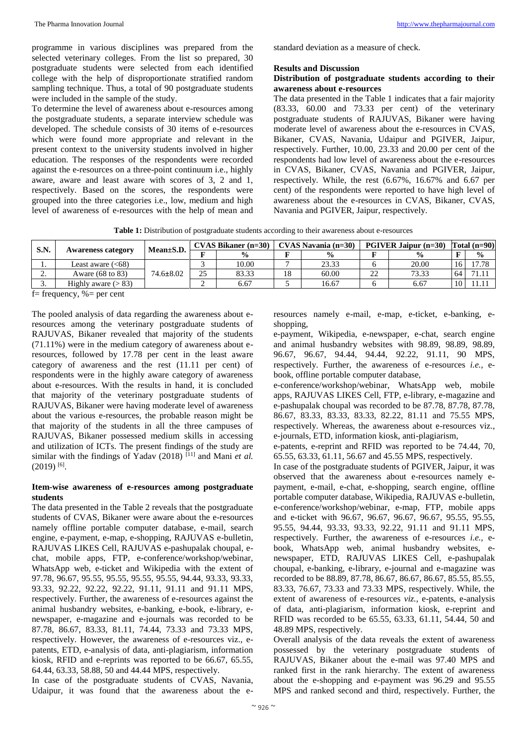programme in various disciplines was prepared from the selected veterinary colleges. From the list so prepared, 30 postgraduate students were selected from each identified college with the help of disproportionate stratified random sampling technique. Thus, a total of 90 postgraduate students were included in the sample of the study.

To determine the level of awareness about e-resources among the postgraduate students, a separate interview schedule was developed. The schedule consists of 30 items of e-resources which were found more appropriate and relevant in the present context to the university students involved in higher education. The responses of the respondents were recorded against the e-resources on a three-point continuum i.e., highly aware, aware and least aware with scores of 3, 2 and 1, respectively. Based on the scores, the respondents were grouped into the three categories i.e., low, medium and high level of awareness of e-resources with the help of mean and

standard deviation as a measure of check.

#### **Results and Discussion**

#### **Distribution of postgraduate students according to their awareness about e-resources**

The data presented in the Table 1 indicates that a fair majority (83.33, 60.00 and 73.33 per cent) of the veterinary postgraduate students of RAJUVAS, Bikaner were having moderate level of awareness about the e-resources in CVAS, Bikaner, CVAS, Navania, Udaipur and PGIVER, Jaipur, respectively. Further, 10.00, 23.33 and 20.00 per cent of the respondents had low level of awareness about the e-resources in CVAS, Bikaner, CVAS, Navania and PGIVER, Jaipur, respectively. While, the rest (6.67%, 16.67% and 6.67 per cent) of the respondents were reported to have high level of awareness about the e-resources in CVAS, Bikaner, CVAS, Navania and PGIVER, Jaipur, respectively.

**Table 1:** Distribution of postgraduate students according to their awareness about e-resources

| S.N.     | <b>Awareness category</b> | $Mean \pm S.D.$ | $CVAS Bikaner (n=30)$ |               |    | $CVAS$ Navania (n=30) | <b>PGIVER Jaipur <math>(n=30)</math></b> |       |    | Total $(n=90)$ |  |
|----------|---------------------------|-----------------|-----------------------|---------------|----|-----------------------|------------------------------------------|-------|----|----------------|--|
|          |                           |                 | T.                    | $\frac{0}{0}$ |    | $\frac{6}{9}$         |                                          |       |    | $\frac{0}{0}$  |  |
| . .      | Least aware $(<68)$       | $74.6 \pm 8.02$ |                       | 10.00         |    | 23.33                 |                                          | 20.00 |    |                |  |
| <u>.</u> | Aware (68 to 83)          |                 | 25                    | 83.33         | 18 | 60.00                 | 22                                       | 73.33 | 64 |                |  |
| J.       | Highly aware $(> 83)$     |                 |                       | 6.67          |    | 16.67                 |                                          | 6.67  | 10 |                |  |

 $f$ = frequency, % = per cent

The pooled analysis of data regarding the awareness about eresources among the veterinary postgraduate students of RAJUVAS, Bikaner revealed that majority of the students (71.11%) were in the medium category of awareness about eresources, followed by 17.78 per cent in the least aware category of awareness and the rest (11.11 per cent) of respondents were in the highly aware category of awareness about e-resources. With the results in hand, it is concluded that majority of the veterinary postgraduate students of RAJUVAS, Bikaner were having moderate level of awareness about the various e-resources, the probable reason might be that majority of the students in all the three campuses of RAJUVAS, Bikaner possessed medium skills in accessing and utilization of ICTs. The present findings of the study are similar with the findings of Yadav (2018)  $^{[11]}$  and Mani *et al.*  $(2019)$ <sup>[6]</sup>.

#### **Item-wise awareness of e-resources among postgraduate students**

The data presented in the Table 2 reveals that the postgraduate students of CVAS, Bikaner were aware about the e-resources namely offline portable computer database, e-mail, search engine, e-payment, e-map, e-shopping, RAJUVAS e-bulletin, RAJUVAS LIKES Cell, RAJUVAS e-pashupalak choupal, echat, mobile apps, FTP, e-conference/workshop/webinar, WhatsApp web, e-ticket and Wikipedia with the extent of 97.78, 96.67, 95.55, 95.55, 95.55, 95.55, 94.44, 93.33, 93.33, 93.33, 92.22, 92.22, 92.22, 91.11, 91.11 and 91.11 MPS, respectively. Further, the awareness of e-resources against the animal husbandry websites, e-banking, e-book, e-library, enewspaper, e-magazine and e-journals was recorded to be 87.78, 86.67, 83.33, 81.11, 74.44, 73.33 and 73.33 MPS, respectively. However, the awareness of e-resources viz., epatents, ETD, e-analysis of data, anti-plagiarism, information kiosk, RFID and e-reprints was reported to be 66.67, 65.55, 64.44, 63.33, 58.88, 50 and 44.44 MPS, respectively.

In case of the postgraduate students of CVAS, Navania, Udaipur, it was found that the awareness about the eresources namely e-mail, e-map, e-ticket, e-banking, eshopping,

e-payment, Wikipedia, e-newspaper, e-chat, search engine and animal husbandry websites with 98.89, 98.89, 98.89, 96.67, 96.67, 94.44, 94.44, 92.22, 91.11, 90 MPS, respectively. Further, the awareness of e-resources *i.e.,* ebook, offline portable computer database,

e-conference/workshop/webinar, WhatsApp web, mobile apps, RAJUVAS LIKES Cell, FTP, e-library, e-magazine and e-pashupalak choupal was recorded to be 87.78, 87.78, 87.78, 86.67, 83.33, 83.33, 83.33, 82.22, 81.11 and 75.55 MPS, respectively. Whereas, the awareness about e-resources viz., e-journals, ETD, information kiosk, anti-plagiarism,

e-patents, e-reprint and RFID was reported to be 74.44, 70, 65.55, 63.33, 61.11, 56.67 and 45.55 MPS, respectively.

In case of the postgraduate students of PGIVER, Jaipur, it was observed that the awareness about e-resources namely epayment, e-mail, e-chat, e-shopping, search engine, offline portable computer database, Wikipedia, RAJUVAS e-bulletin, e-conference/workshop/webinar, e-map, FTP, mobile apps and e-ticket with 96.67, 96.67, 96.67, 96.67, 95.55, 95.55, 95.55, 94.44, 93.33, 93.33, 92.22, 91.11 and 91.11 MPS, respectively. Further, the awareness of e-resources *i.e.,* ebook, WhatsApp web, animal husbandry websites, enewspaper, ETD, RAJUVAS LIKES Cell, e-pashupalak choupal, e-banking, e-library, e-journal and e-magazine was recorded to be 88.89, 87.78, 86.67, 86.67, 86.67, 85.55, 85.55, 83.33, 76.67, 73.33 and 73.33 MPS, respectively. While, the extent of awareness of e-resources *viz.,* e-patents, e-analysis of data, anti-plagiarism, information kiosk, e-reprint and RFID was recorded to be 65.55, 63.33, 61.11, 54.44, 50 and 48.89 MPS, respectively.

Overall analysis of the data reveals the extent of awareness possessed by the veterinary postgraduate students of RAJUVAS, Bikaner about the e-mail was 97.40 MPS and ranked first in the rank hierarchy. The extent of awareness about the e-shopping and e-payment was 96.29 and 95.55 MPS and ranked second and third, respectively. Further, the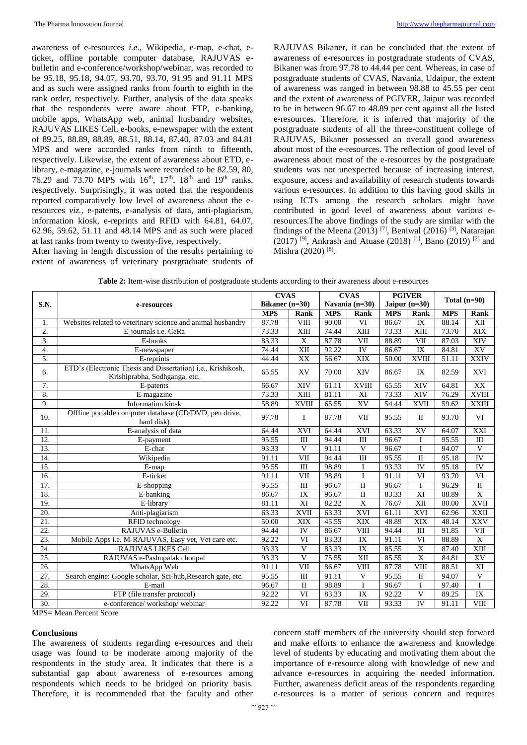awareness of e-resources *i.e.,* Wikipedia, e-map, e-chat, eticket, offline portable computer database, RAJUVAS ebulletin and e-conference/workshop/webinar, was recorded to be 95.18, 95.18, 94.07, 93.70, 93.70, 91.95 and 91.11 MPS and as such were assigned ranks from fourth to eighth in the rank order, respectively. Further, analysis of the data speaks that the respondents were aware about FTP, e-banking, mobile apps, WhatsApp web, animal husbandry websites, RAJUVAS LIKES Cell, e-books, e-newspaper with the extent of 89.25, 88.89, 88.89, 88.51, 88.14, 87.40, 87.03 and 84.81 MPS and were accorded ranks from ninth to fifteenth, respectively. Likewise, the extent of awareness about ETD, elibrary, e-magazine, e-journals were recorded to be 82.59, 80, 76.29 and 73.70 MPS with  $16^{th}$ ,  $17^{th}$ ,  $18^{th}$  and  $19^{th}$  ranks, respectively. Surprisingly, it was noted that the respondents reported comparatively low level of awareness about the eresources *viz.,* e-patents, e-analysis of data, anti-plagiarism, information kiosk, e-reprints and RFID with 64.81, 64.07, 62.96, 59.62, 51.11 and 48.14 MPS and as such were placed at last ranks from twenty to twenty-five, respectively.

After having in length discussion of the results pertaining to extent of awareness of veterinary postgraduate students of RAJUVAS Bikaner, it can be concluded that the extent of awareness of e-resources in postgraduate students of CVAS, Bikaner was from 97.78 to 44.44 per cent. Whereas, in case of postgraduate students of CVAS, Navania, Udaipur, the extent of awareness was ranged in between 98.88 to 45.55 per cent and the extent of awareness of PGIVER, Jaipur was recorded to be in between 96.67 to 48.89 per cent against all the listed e-resources. Therefore, it is inferred that majority of the postgraduate students of all the three-constituent college of RAJUVAS, Bikaner possessed an overall good awareness about most of the e-resources. The reflection of good level of awareness about most of the e-resources by the postgraduate students was not unexpected because of increasing interest, exposure, access and availability of research students towards various e-resources. In addition to this having good skills in using ICTs among the research scholars might have contributed in good level of awareness about various eresources.The above findings of the study are similar with the findings of the Meena (2013)<sup>[7]</sup>, Beniwal (2016)<sup>[3]</sup>, Natarajan  $(2017)$ <sup>[9]</sup>, Ankrash and Atuase (2018)<sup>[1]</sup>, Bano (2019)<sup>[2]</sup> and Mishra (2020)<sup>[8]</sup>.

|                   |                                                                                               | <b>CVAS</b> |                  | <b>CVAS</b> |                  | <b>PGIVER</b> |                         | Total $(n=90)$ |                                   |  |  |
|-------------------|-----------------------------------------------------------------------------------------------|-------------|------------------|-------------|------------------|---------------|-------------------------|----------------|-----------------------------------|--|--|
| <b>S.N.</b>       | e-resources                                                                                   |             | Bikaner $(n=30)$ |             | Navania $(n=30)$ |               | Jaipur $(n=30)$         |                |                                   |  |  |
|                   |                                                                                               | <b>MPS</b>  | Rank             | <b>MPS</b>  | <b>Rank</b>      | <b>MPS</b>    | Rank                    | <b>MPS</b>     | Rank                              |  |  |
| 1.                | Websites related to veterinary science and animal husbandry                                   | 87.78       | <b>VIII</b>      | 90.00       | VI               | 86.67         | IX                      | 88.14          | XII                               |  |  |
| 2.                | E-journals i.e. CeRa                                                                          | 73.33       | XIII             | 74.44       | XIII             | 73.33         | XIII                    | 73.70          | XIX                               |  |  |
| 3.                | E-books                                                                                       | 83.33       | X                | 87.78       | VII              | 88.89         | VII                     | 87.03          | XIV                               |  |  |
| 4.                | E-newspaper                                                                                   | 74.44       | XII              | 92.22       | IV               | 86.67         | $\mathbf{IX}$           | 84.81          | XV                                |  |  |
| $\overline{5}$ .  | E-reprints                                                                                    | 44.44       | XX               | 56.67       | XIX              | 50.00         | <b>XVIII</b>            | 51.11          | <b>XXIV</b>                       |  |  |
| 6.                | ETD's (Electronic Thesis and Dissertation) i.e., Krishikosh,<br>Krishiprabha, Sodhganga, etc. | 65.55       | XV               | 70.00       | XIV              | 86.67         | IX                      | 82.59          | <b>XVI</b>                        |  |  |
| 7.                | E-patents                                                                                     | 66.67       | XIV              | 61.11       | <b>XVIII</b>     | 65.55         | XIV                     | 64.81          | XX                                |  |  |
| 8.                | E-magazine                                                                                    | 73.33       | XIII             | 81.11       | XI               | 73.33         | XIV                     | 76.29          | <b>XVIII</b>                      |  |  |
| 9.                | <b>Information</b> kiosk                                                                      | 58.89       | <b>XVIII</b>     | 65.55       | XV               | 54.44         | <b>XVII</b>             | 59.62          | <b>XXIII</b>                      |  |  |
| 10.               | Offline portable computer database (CD/DVD, pen drive,<br>hard disk)                          | 97.78       | $\mathbf{I}$     | 87.78       | VII              | 95.55         | $\mathbf{I}$            | 93.70          | VI                                |  |  |
| 11.               | E-analysis of data                                                                            | 64.44       | XVI              | 64.44       | XVI              | 63.33         | XV                      | 64.07          | XXI                               |  |  |
| 12.               | E-payment                                                                                     | 95.55       | III              | 94.44       | III              | 96.67         | I                       | 95.55          | III                               |  |  |
| 13.               | E-chat                                                                                        | 93.33       | V                | 91.11       | $\mathbf{V}$     | 96.67         | $\mathbf{I}$            | 94.07          | $\mathbf{V}$                      |  |  |
| 14.               | Wikipedia                                                                                     | 91.11       | VII              | 94.44       | III              | 95.55         | $\mathbf{I}$            | 95.18          | IV                                |  |  |
| 15.               | E-map                                                                                         | 95.55       | III              | 98.89       | $\mathbf I$      | 93.33         | IV                      | 95.18          | IV                                |  |  |
| 16.               | E-ticket                                                                                      | 91.11       | <b>VII</b>       | 98.89       | $\mathbf{I}$     | 91.11         | VI                      | 93.70          | VI                                |  |  |
| $\overline{17}$ . | E-shopping                                                                                    | 95.55       | $\rm III$        | 96.67       | $\mathbf{I}$     | 96.67         | $\mathbf I$             | 96.29          | $\rm II$                          |  |  |
| 18.               | E-banking                                                                                     | 86.67       | IX               | 96.67       | $\rm II$         | 83.33         | XI                      | 88.89          | $\overline{X}$                    |  |  |
| 19.               | E-library                                                                                     | 81.11       | XI               | 82.22       | X                | 76.67         | XII                     | 80.00          | $\mathbf{X}\mathbf{V}\mathbf{II}$ |  |  |
| 20.               | Anti-plagiarism                                                                               | 63.33       | <b>XVII</b>      | 63.33       | <b>XVI</b>       | 61.11         | XVI                     | 62.96          | <b>XXII</b>                       |  |  |
| 21.               | RFID technology                                                                               | 50.00       | XIX              | 45.55       | <b>XIX</b>       | 48.89         | <b>XIX</b>              | 48.14          | <b>XXV</b>                        |  |  |
| $\overline{22}$ . | RAJUVAS e-Bulletin                                                                            | 94.44       | IV               | 86.67       | <b>VIII</b>      | 94.44         | $\rm III$               | 91.85          | VII                               |  |  |
| 23.               | Mobile Apps i.e. M-RAJUVAS, Easy vet, Vet care etc.                                           | 92.22       | VI               | 83.33       | IX               | 91.11         | VI                      | 88.89          | $\overline{X}$                    |  |  |
| 24.               | <b>RAJUVAS LIKES Cell</b>                                                                     | 93.33       | V                | 83.33       | IX               | 85.55         | X                       | 87.40          | XIII                              |  |  |
| 25.               | RAJUVAS e-Pashupalak choupal                                                                  | 93.33       | $\mathbf{V}$     | 75.55       | XII              | 85.55         | X                       | 84.81          | XV                                |  |  |
| 26.               | WhatsApp Web                                                                                  | 91.11       | VII              | 86.67       | <b>VIII</b>      | 87.78         | <b>VIII</b>             | 88.51          | XI                                |  |  |
| 27.               | Search engine: Google scholar, Sci-hub, Research gate, etc.                                   | 95.55       | III              | 91.11       | V                | 95.55         | $\mathbf{I}$            | 94.07          | $\mathbf{V}$                      |  |  |
| 28.               | E-mail                                                                                        | 96.67       | $\mathbf{I}$     | 98.89       | $\mathbf{I}$     | 96.67         | $\mathbf I$             | 97.40          | I                                 |  |  |
| 29.               | FTP (file transfer protocol)                                                                  | 92.22       | VI               | 83.33       | IX               | 92.22         | $\overline{\mathbf{V}}$ | 89.25          | $\overline{\text{IX}}$            |  |  |
| 30.               | e-conference/workshop/webinar                                                                 | 92.22       | VI               | 87.78       | VII              | 93.33         | IV                      | 91.11          | <b>VIII</b>                       |  |  |

**Table 2:** Item-wise distribution of postgraduate students according to their awareness about e-resources

MPS= Mean Percent Score

#### **Conclusions**

The awareness of students regarding e-resources and their usage was found to be moderate among majority of the respondents in the study area. It indicates that there is a substantial gap about awareness of e-resources among respondents which needs to be bridged on priority basis. Therefore, it is recommended that the faculty and other

concern staff members of the university should step forward and make efforts to enhance the awareness and knowledge level of students by educating and motivating them about the importance of e-resource along with knowledge of new and advance e-resources in acquiring the needed information. Further, awareness deficit areas of the respondents regarding e-resources is a matter of serious concern and requires